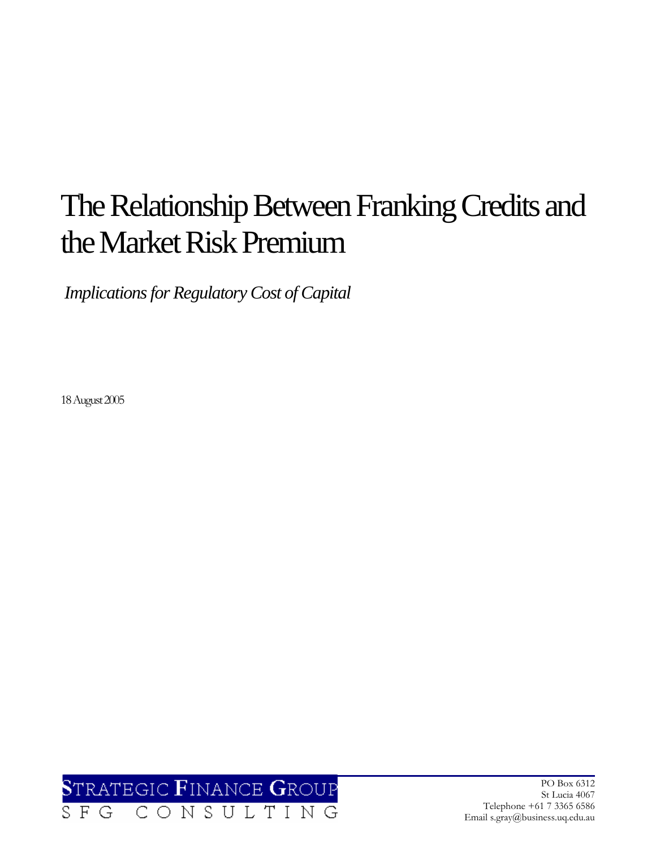# The Relationship Between Franking Credits and the Market Risk Premium

 *Implications for Regulatory Cost of Capital* 

18 August 2005



PO Box 6312 St Lucia 4067 Telephone +61 7 3365 6586 Email s.gray@business.uq.edu.au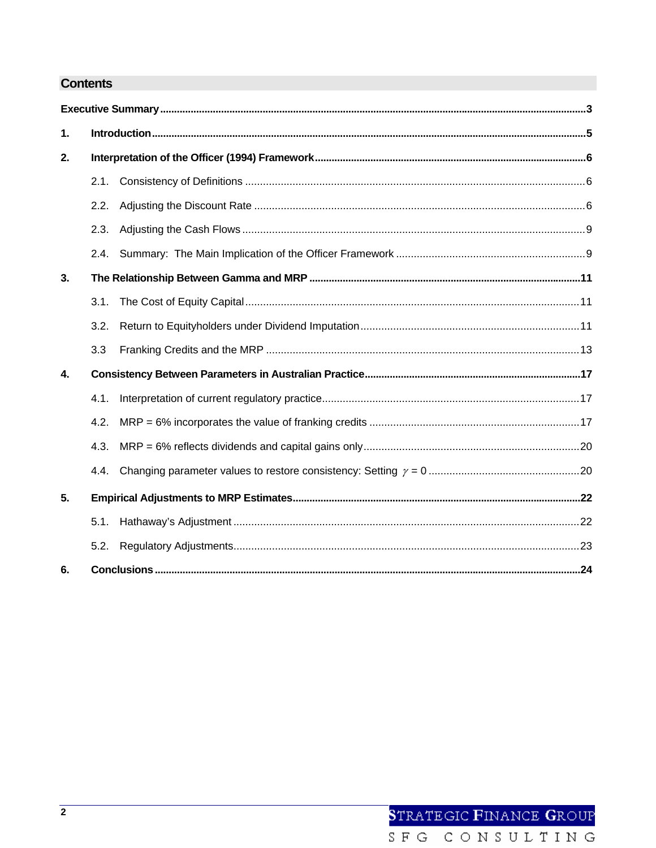## **Contents**

| 1. |      |  |  |  |  |
|----|------|--|--|--|--|
| 2. |      |  |  |  |  |
|    | 2.1. |  |  |  |  |
|    | 2.2. |  |  |  |  |
|    | 2.3. |  |  |  |  |
|    | 2.4. |  |  |  |  |
| 3. |      |  |  |  |  |
|    | 3.1. |  |  |  |  |
|    | 3.2. |  |  |  |  |
|    | 3.3  |  |  |  |  |
| 4. |      |  |  |  |  |
|    | 4.1. |  |  |  |  |
|    | 4.2. |  |  |  |  |
|    | 4.3. |  |  |  |  |
|    | 4.4. |  |  |  |  |
| 5. |      |  |  |  |  |
|    | 5.1. |  |  |  |  |
|    | 5.2. |  |  |  |  |
| 6. |      |  |  |  |  |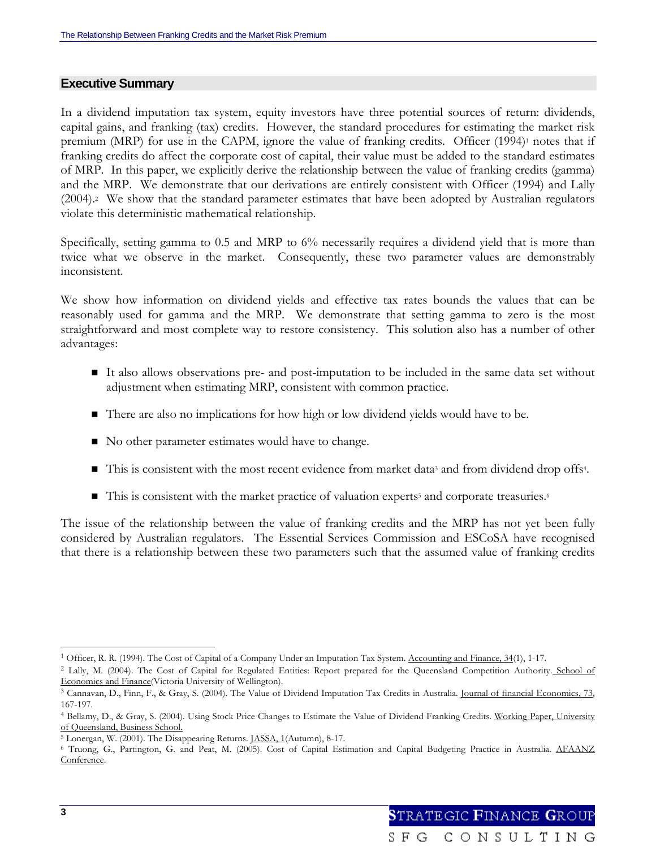#### **Executive Summary**

In a dividend imputation tax system, equity investors have three potential sources of return: dividends, capital gains, and franking (tax) credits. However, the standard procedures for estimating the market risk premium (MRP) for use in the CAPM, ignore the value of franking credits. Officer  $(1994)$ <sup>1</sup> notes that if franking credits do affect the corporate cost of capital, their value must be added to the standard estimates of MRP. In this paper, we explicitly derive the relationship between the value of franking credits (gamma) and the MRP. We demonstrate that our derivations are entirely consistent with Officer (1994) and Lally (2004).2 We show that the standard parameter estimates that have been adopted by Australian regulators violate this deterministic mathematical relationship.

Specifically, setting gamma to 0.5 and MRP to 6% necessarily requires a dividend yield that is more than twice what we observe in the market. Consequently, these two parameter values are demonstrably inconsistent.

We show how information on dividend yields and effective tax rates bounds the values that can be reasonably used for gamma and the MRP. We demonstrate that setting gamma to zero is the most straightforward and most complete way to restore consistency. This solution also has a number of other advantages:

- It also allows observations pre- and post-imputation to be included in the same data set without adjustment when estimating MRP, consistent with common practice.
- There are also no implications for how high or low dividend yields would have to be.
- No other parameter estimates would have to change.
- This is consistent with the most recent evidence from market data<sup>3</sup> and from dividend drop offs<sup>4</sup>.
- $\blacksquare$  This is consistent with the market practice of valuation experts<sup>5</sup> and corporate treasuries.<sup>6</sup>

The issue of the relationship between the value of franking credits and the MRP has not yet been fully considered by Australian regulators. The Essential Services Commission and ESCoSA have recognised that there is a relationship between these two parameters such that the assumed value of franking credits

<sup>&</sup>lt;sup>1</sup> Officer, R. R. (1994). The Cost of Capital of a Company Under an Imputation Tax System. Accounting and Finance, 34(1), 1-17.<br><sup>2</sup> Lally, M. (2004). The Cost of Capital for Regulated Entities: Report prepared for the Que Economics and Finance(Victoria University of Wellington).<br><sup>3</sup> Cannavan, D., Finn, F., & Gray, S. (2004). The Value of Dividend Imputation Tax Credits in Australia. <u>Journal of financial Economics, 73</u>,

<sup>167-197.</sup> 

<sup>4</sup> Bellamy, D., & Gray, S. (2004). Using Stock Price Changes to Estimate the Value of Dividend Franking Credits. Working Paper, University of Queensland, Business School.<br><sup>5</sup> Lonergan, W. (2001). The Disappearing Returns. *IASSA*, 1(Autumn), 8-17.

<sup>&</sup>lt;sup>6</sup> Truong, G., Partington, G. and Peat, M. (2005). Cost of Capital Estimation and Capital Budgeting Practice in Australia. AFAANZ Conference.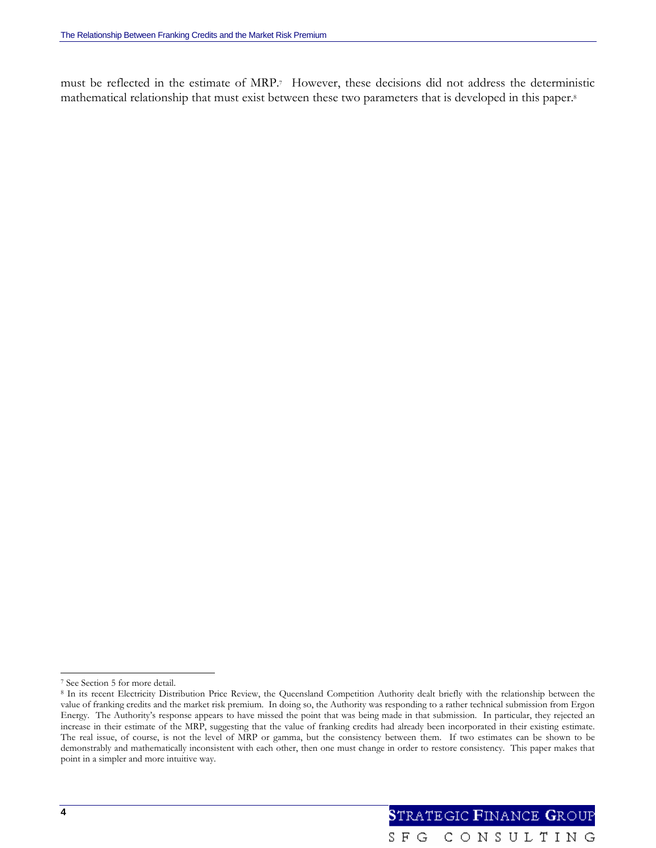must be reflected in the estimate of MRP.7 However, these decisions did not address the deterministic mathematical relationship that must exist between these two parameters that is developed in this paper.8

l

<sup>7</sup> See Section 5 for more detail.

<sup>&</sup>lt;sup>8</sup> In its recent Electricity Distribution Price Review, the Queensland Competition Authority dealt briefly with the relationship between the value of franking credits and the market risk premium. In doing so, the Authority was responding to a rather technical submission from Ergon Energy. The Authority's response appears to have missed the point that was being made in that submission. In particular, they rejected an increase in their estimate of the MRP, suggesting that the value of franking credits had already been incorporated in their existing estimate. The real issue, of course, is not the level of MRP or gamma, but the consistency between them. If two estimates can be shown to be demonstrably and mathematically inconsistent with each other, then one must change in order to restore consistency. This paper makes that point in a simpler and more intuitive way.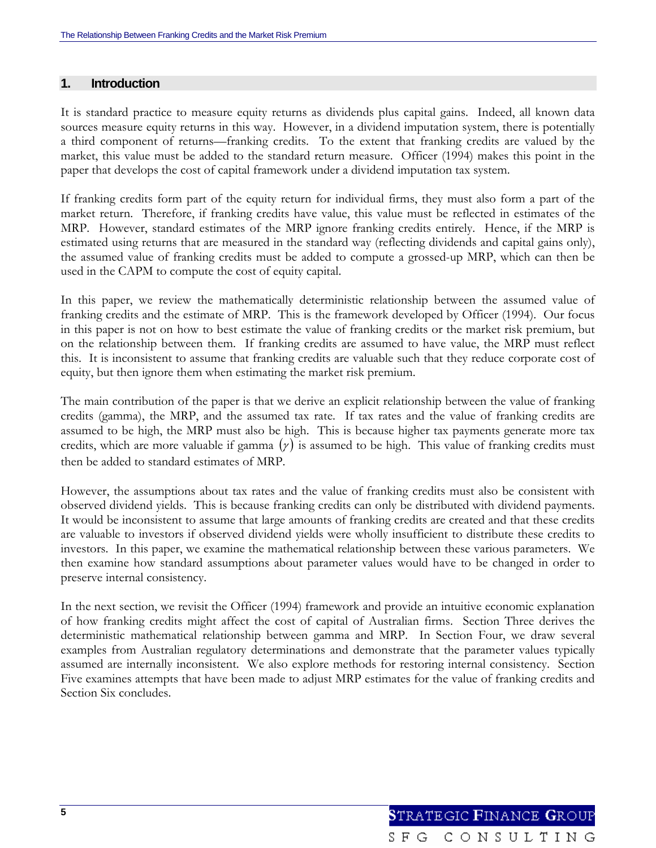### **1. Introduction**

It is standard practice to measure equity returns as dividends plus capital gains. Indeed, all known data sources measure equity returns in this way. However, in a dividend imputation system, there is potentially a third component of returns—franking credits. To the extent that franking credits are valued by the market, this value must be added to the standard return measure. Officer (1994) makes this point in the paper that develops the cost of capital framework under a dividend imputation tax system.

If franking credits form part of the equity return for individual firms, they must also form a part of the market return. Therefore, if franking credits have value, this value must be reflected in estimates of the MRP. However, standard estimates of the MRP ignore franking credits entirely. Hence, if the MRP is estimated using returns that are measured in the standard way (reflecting dividends and capital gains only), the assumed value of franking credits must be added to compute a grossed-up MRP, which can then be used in the CAPM to compute the cost of equity capital.

In this paper, we review the mathematically deterministic relationship between the assumed value of franking credits and the estimate of MRP. This is the framework developed by Officer (1994). Our focus in this paper is not on how to best estimate the value of franking credits or the market risk premium, but on the relationship between them. If franking credits are assumed to have value, the MRP must reflect this. It is inconsistent to assume that franking credits are valuable such that they reduce corporate cost of equity, but then ignore them when estimating the market risk premium.

The main contribution of the paper is that we derive an explicit relationship between the value of franking credits (gamma), the MRP, and the assumed tax rate. If tax rates and the value of franking credits are assumed to be high, the MRP must also be high. This is because higher tax payments generate more tax credits, which are more valuable if gamma  $(y)$  is assumed to be high. This value of franking credits must then be added to standard estimates of MRP.

However, the assumptions about tax rates and the value of franking credits must also be consistent with observed dividend yields. This is because franking credits can only be distributed with dividend payments. It would be inconsistent to assume that large amounts of franking credits are created and that these credits are valuable to investors if observed dividend yields were wholly insufficient to distribute these credits to investors. In this paper, we examine the mathematical relationship between these various parameters. We then examine how standard assumptions about parameter values would have to be changed in order to preserve internal consistency.

In the next section, we revisit the Officer (1994) framework and provide an intuitive economic explanation of how franking credits might affect the cost of capital of Australian firms. Section Three derives the deterministic mathematical relationship between gamma and MRP. In Section Four, we draw several examples from Australian regulatory determinations and demonstrate that the parameter values typically assumed are internally inconsistent. We also explore methods for restoring internal consistency. Section Five examines attempts that have been made to adjust MRP estimates for the value of franking credits and Section Six concludes.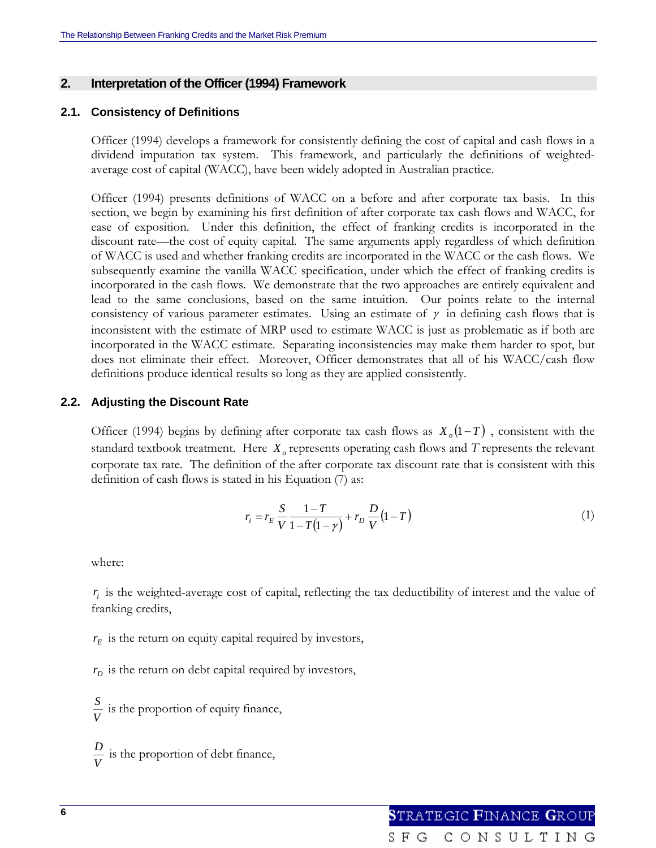#### **2. Interpretation of the Officer (1994) Framework**

#### **2.1. Consistency of Definitions**

Officer (1994) develops a framework for consistently defining the cost of capital and cash flows in a dividend imputation tax system. This framework, and particularly the definitions of weightedaverage cost of capital (WACC), have been widely adopted in Australian practice.

Officer (1994) presents definitions of WACC on a before and after corporate tax basis. In this section, we begin by examining his first definition of after corporate tax cash flows and WACC, for ease of exposition. Under this definition, the effect of franking credits is incorporated in the discount rate—the cost of equity capital. The same arguments apply regardless of which definition of WACC is used and whether franking credits are incorporated in the WACC or the cash flows. We subsequently examine the vanilla WACC specification, under which the effect of franking credits is incorporated in the cash flows. We demonstrate that the two approaches are entirely equivalent and lead to the same conclusions, based on the same intuition. Our points relate to the internal consistency of various parameter estimates. Using an estimate of  $\gamma$  in defining cash flows that is inconsistent with the estimate of MRP used to estimate WACC is just as problematic as if both are incorporated in the WACC estimate. Separating inconsistencies may make them harder to spot, but does not eliminate their effect. Moreover, Officer demonstrates that all of his WACC/cash flow definitions produce identical results so long as they are applied consistently.

#### **2.2. Adjusting the Discount Rate**

Officer (1994) begins by defining after corporate tax cash flows as  $X_0(1-T)$ , consistent with the standard textbook treatment. Here  $X_0$  represents operating cash flows and  $T$  represents the relevant corporate tax rate. The definition of the after corporate tax discount rate that is consistent with this definition of cash flows is stated in his Equation (7) as:

$$
r_i = r_E \frac{S}{V} \frac{1 - T}{1 - T(1 - \gamma)} + r_D \frac{D}{V} (1 - T)
$$
\n(1)

where:

*ir* is the weighted-average cost of capital, reflecting the tax deductibility of interest and the value of franking credits,

 $r_E$  is the return on equity capital required by investors,

 $r<sub>D</sub>$  is the return on debt capital required by investors,

 $\frac{S}{V}$  is the proportion of equity finance,

 $\frac{D}{V}$  is the proportion of debt finance,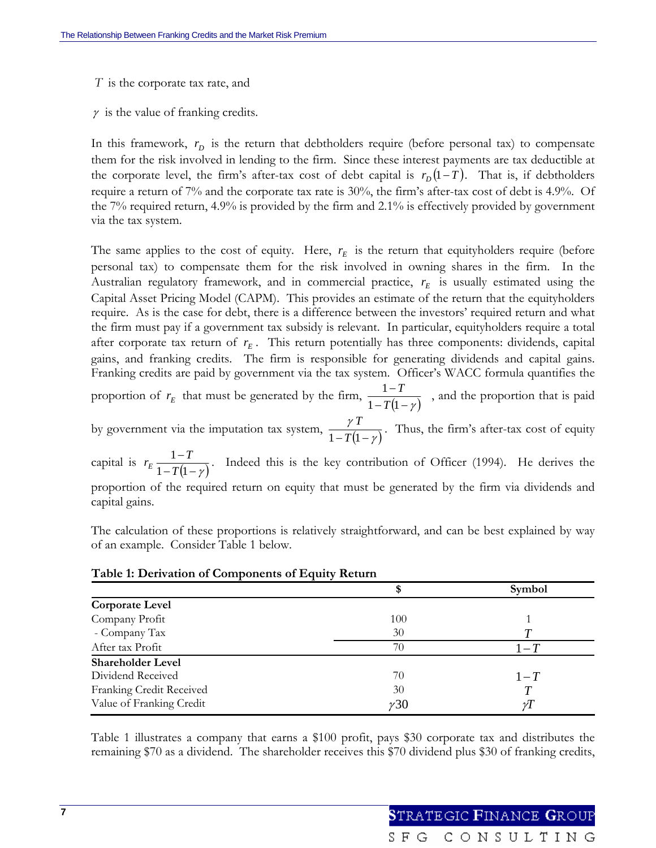- *T* is the corporate tax rate, and
- $\gamma$  is the value of franking credits.

In this framework,  $r<sub>p</sub>$  is the return that debtholders require (before personal tax) to compensate them for the risk involved in lending to the firm. Since these interest payments are tax deductible at the corporate level, the firm's after-tax cost of debt capital is  $r_D(1-T)$ . That is, if debtholders require a return of 7% and the corporate tax rate is 30%, the firm's after-tax cost of debt is 4.9%. Of the 7% required return, 4.9% is provided by the firm and 2.1% is effectively provided by government via the tax system.

The same applies to the cost of equity. Here,  $r_E$  is the return that equityholders require (before personal tax) to compensate them for the risk involved in owning shares in the firm. In the Australian regulatory framework, and in commercial practice,  $r_E$  is usually estimated using the Capital Asset Pricing Model (CAPM). This provides an estimate of the return that the equityholders require. As is the case for debt, there is a difference between the investors' required return and what the firm must pay if a government tax subsidy is relevant. In particular, equityholders require a total after corporate tax return of  $r_E$ . This return potentially has three components: dividends, capital gains, and franking credits. The firm is responsible for generating dividends and capital gains. Franking credits are paid by government via the tax system. Officer's WACC formula quantifies the

proportion of  $r_E$  that must be generated by the firm,  $\frac{1-T}{1-T(1-\gamma)}$  $1 - T(1)$ 1  $\frac{1-T}{T(1-\gamma)}$ , and the proportion that is paid

by government via the imputation tax system,  $\frac{\gamma I}{1 - T(1 - \gamma)}$  $\frac{\gamma T}{1-T(1-\gamma)}$ . Thus, the firm's after-tax cost of equity

capital is  $r_E \frac{1-T}{1-T(1-\gamma)}$  $1 - T(1)$ 1 *T*  $r_E \frac{1-T}{1-T}$ . Indeed this is the key contribution of Officer (1994). He derives the proportion of the required return on equity that must be generated by the firm via dividends and capital gains.

The calculation of these proportions is relatively straightforward, and can be best explained by way of an example. Consider Table 1 below.

| Table 1: Derivation of Components of Equity Return |  |  |  |  |  |  |  |  |
|----------------------------------------------------|--|--|--|--|--|--|--|--|
|----------------------------------------------------|--|--|--|--|--|--|--|--|

|                          |             | Symbol  |
|--------------------------|-------------|---------|
| <b>Corporate Level</b>   |             |         |
| Company Profit           | 100         |         |
| - Company Tax            | 30          |         |
| After tax Profit         | 70          | $1 - T$ |
| <b>Shareholder Level</b> |             |         |
| Dividend Received        | 70          | $1-T$   |
| Franking Credit Received | 30          |         |
| Value of Franking Credit | $\gamma$ 30 |         |

Table 1 illustrates a company that earns a \$100 profit, pays \$30 corporate tax and distributes the remaining \$70 as a dividend. The shareholder receives this \$70 dividend plus \$30 of franking credits,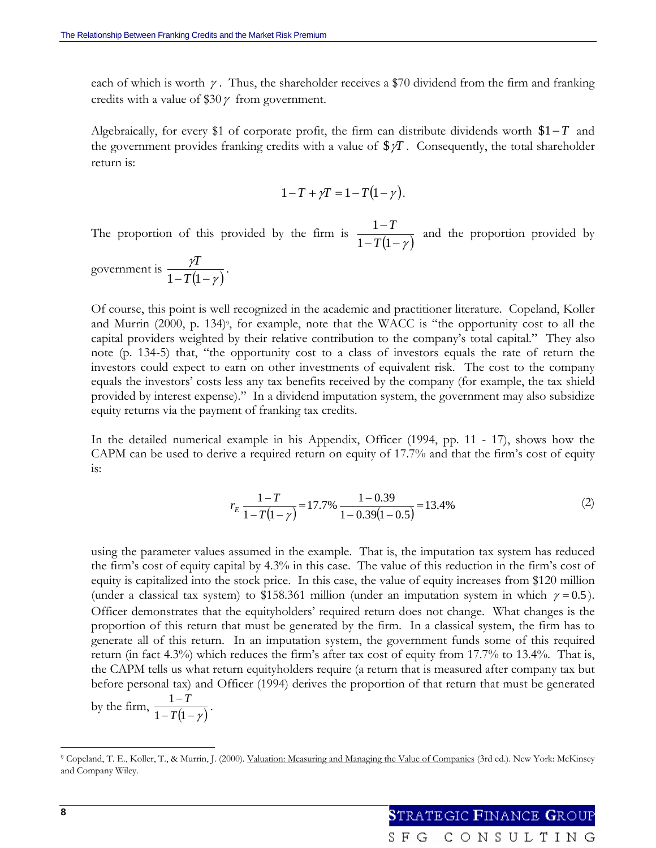each of which is worth  $\gamma$ . Thus, the shareholder receives a \$70 dividend from the firm and franking credits with a value of \$30  $\gamma$  from government.

Algebraically, for every \$1 of corporate profit, the firm can distribute dividends worth \$1−*T* and the government provides franking credits with a value of  $\sqrt[6]{T}$ . Consequently, the total shareholder return is:

$$
1-T+\gamma T=1-T(1-\gamma).
$$

The proportion of this provided by the firm is  $\frac{1}{1 - T(1 - \gamma)}$ −  $1 - T(1)$ 1 *T*  $\frac{T}{T}$  and the proportion provided by

government is  $\frac{\gamma I}{1 - T(1 - \gamma)}$  $1-T(1 \frac{T}{\sqrt{2}}$ .

Of course, this point is well recognized in the academic and practitioner literature. Copeland, Koller and Murrin  $(2000, p. 134)$ <sup>o</sup>, for example, note that the WACC is "the opportunity cost to all the capital providers weighted by their relative contribution to the company's total capital." They also note (p. 134-5) that, "the opportunity cost to a class of investors equals the rate of return the investors could expect to earn on other investments of equivalent risk. The cost to the company equals the investors' costs less any tax benefits received by the company (for example, the tax shield provided by interest expense)." In a dividend imputation system, the government may also subsidize equity returns via the payment of franking tax credits.

In the detailed numerical example in his Appendix, Officer (1994, pp. 11 - 17), shows how the CAPM can be used to derive a required return on equity of 17.7% and that the firm's cost of equity is:

$$
r_E \frac{1 - T}{1 - T(1 - \gamma)} = 17.7\% \frac{1 - 0.39}{1 - 0.39(1 - 0.5)} = 13.4\%
$$
 (2)

using the parameter values assumed in the example. That is, the imputation tax system has reduced the firm's cost of equity capital by 4.3% in this case. The value of this reduction in the firm's cost of equity is capitalized into the stock price. In this case, the value of equity increases from \$120 million (under a classical tax system) to \$158.361 million (under an imputation system in which  $\gamma = 0.5$ ). Officer demonstrates that the equityholders' required return does not change. What changes is the proportion of this return that must be generated by the firm. In a classical system, the firm has to generate all of this return. In an imputation system, the government funds some of this required return (in fact 4.3%) which reduces the firm's after tax cost of equity from 17.7% to 13.4%. That is, the CAPM tells us what return equityholders require (a return that is measured after company tax but before personal tax) and Officer (1994) derives the proportion of that return that must be generated

by the firm,  $\frac{1-T}{1-T(1-\gamma)}$  $1 - T(1)$ 1  $\frac{1-T}{T(1-\gamma)}$ .

<sup>9</sup> Copeland, T. E., Koller, T., & Murrin, J. (2000). Valuation: Measuring and Managing the Value of Companies (3rd ed.). New York: McKinsey and Company Wiley.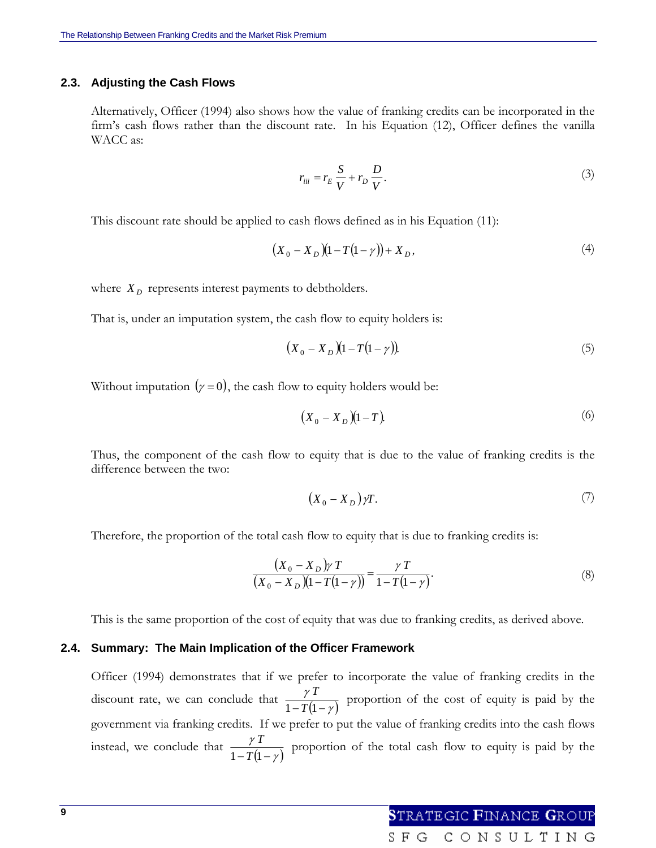#### **2.3. Adjusting the Cash Flows**

Alternatively, Officer (1994) also shows how the value of franking credits can be incorporated in the firm's cash flows rather than the discount rate. In his Equation (12), Officer defines the vanilla WACC as:

$$
r_{iii} = r_E \frac{S}{V} + r_D \frac{D}{V}.\tag{3}
$$

This discount rate should be applied to cash flows defined as in his Equation (11):

$$
(X_0 - X_D)(1 - T(1 - \gamma)) + X_D, \tag{4}
$$

where  $X_D$  represents interest payments to debtholders.

That is, under an imputation system, the cash flow to equity holders is:

$$
(X_0 - X_D)(1 - T(1 - \gamma)). \tag{5}
$$

Without imputation  $(y = 0)$ , the cash flow to equity holders would be:

$$
(X_0 - X_D)(1 - T). \t\t(6)
$$

Thus, the component of the cash flow to equity that is due to the value of franking credits is the difference between the two:

$$
(X_0 - X_D)\gamma T.\t\t(7)
$$

Therefore, the proportion of the total cash flow to equity that is due to franking credits is:

$$
\frac{(X_0 - X_D)\gamma T}{(X_0 - X_D)(1 - T(1 - \gamma))} = \frac{\gamma T}{1 - T(1 - \gamma)}.
$$
\n(8)

SFG

This is the same proportion of the cost of equity that was due to franking credits, as derived above.

#### **2.4. Summary: The Main Implication of the Officer Framework**

Officer (1994) demonstrates that if we prefer to incorporate the value of franking credits in the discount rate, we can conclude that  $\frac{\gamma I}{1 - T(1 - \gamma)}$  $\frac{\gamma T}{1-T(1-\gamma)}$  proportion of the cost of equity is paid by the government via franking credits. If we prefer to put the value of franking credits into the cash flows instead, we conclude that  $\frac{\gamma I}{1 - T(1 - \gamma)}$  $\frac{\gamma T}{1-T(1-\gamma)}$  proportion of the total cash flow to equity is paid by the

CONSULTING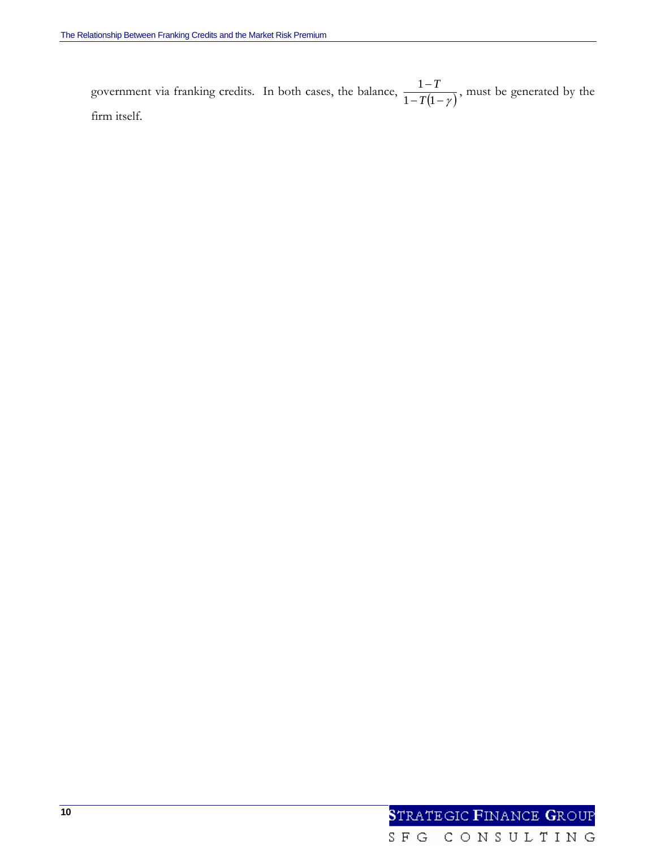government via franking credits. In both cases, the balance,  $\frac{1-T}{1-T(1-\gamma)}$  $1 - T(1)$ 1 *T*  $\frac{T}{T}$ , must be generated by the firm itself.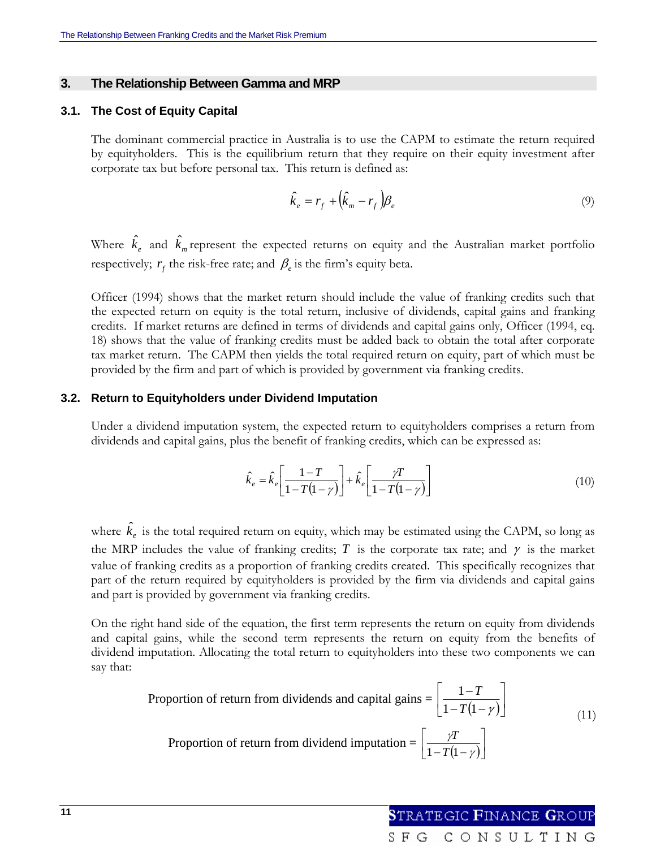#### **3. The Relationship Between Gamma and MRP**

#### **3.1. The Cost of Equity Capital**

The dominant commercial practice in Australia is to use the CAPM to estimate the return required by equityholders. This is the equilibrium return that they require on their equity investment after corporate tax but before personal tax. This return is defined as:

$$
\hat{k}_e = r_f + \left(\hat{k}_m - r_f\right)\beta_e\tag{9}
$$

Where  $\hat{k}_e$  and  $\hat{k}_m$  represent the expected returns on equity and the Australian market portfolio respectively;  $r_f$  the risk-free rate; and  $\beta_e$  is the firm's equity beta.

Officer (1994) shows that the market return should include the value of franking credits such that the expected return on equity is the total return, inclusive of dividends, capital gains and franking credits. If market returns are defined in terms of dividends and capital gains only, Officer (1994, eq. 18) shows that the value of franking credits must be added back to obtain the total after corporate tax market return. The CAPM then yields the total required return on equity, part of which must be provided by the firm and part of which is provided by government via franking credits.

#### **3.2. Return to Equityholders under Dividend Imputation**

Under a dividend imputation system, the expected return to equityholders comprises a return from dividends and capital gains, plus the benefit of franking credits, which can be expressed as:

$$
\hat{k}_e = \hat{k}_e \left[ \frac{1 - T}{1 - T(1 - \gamma)} \right] + \hat{k}_e \left[ \frac{\gamma T}{1 - T(1 - \gamma)} \right] \tag{10}
$$

where  $\hat{k}_e$  is the total required return on equity, which may be estimated using the CAPM, so long as the MRP includes the value of franking credits; *T* is the corporate tax rate; and  $\gamma$  is the market value of franking credits as a proportion of franking credits created. This specifically recognizes that part of the return required by equityholders is provided by the firm via dividends and capital gains and part is provided by government via franking credits.

On the right hand side of the equation, the first term represents the return on equity from dividends and capital gains, while the second term represents the return on equity from the benefits of dividend imputation. Allocating the total return to equityholders into these two components we can say that:

Proportion of return from dividends and capital gains = 
$$
\left[\frac{1 - T}{1 - T(1 - \gamma)}\right]
$$
\nProportion of return from dividend imputation = 
$$
\left[\frac{\gamma T}{1 - T(1 - \gamma)}\right]
$$
 (11)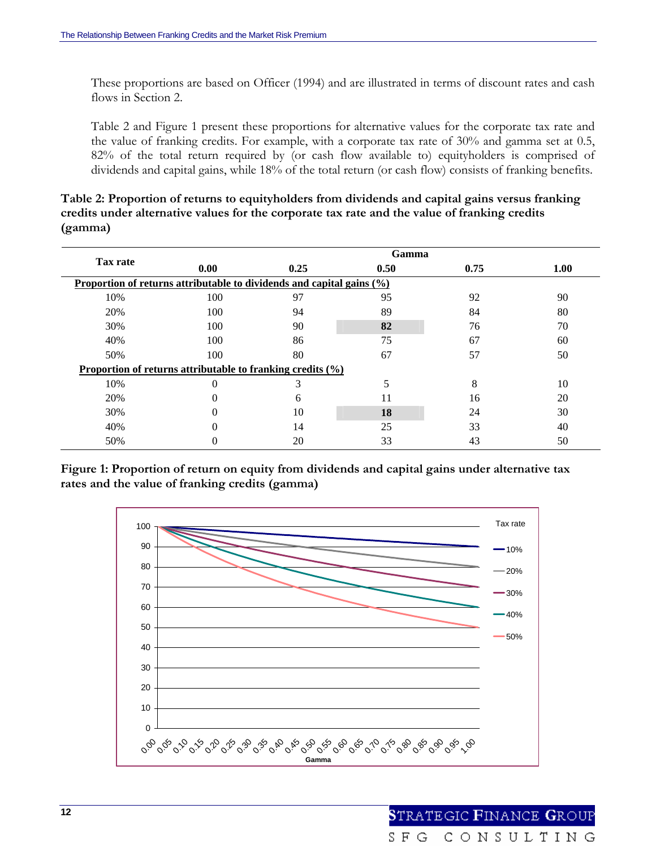These proportions are based on Officer (1994) and are illustrated in terms of discount rates and cash flows in Section 2.

Table 2 and Figure 1 present these proportions for alternative values for the corporate tax rate and the value of franking credits. For example, with a corporate tax rate of 30% and gamma set at 0.5, 82% of the total return required by (or cash flow available to) equityholders is comprised of dividends and capital gains, while 18% of the total return (or cash flow) consists of franking benefits.

**Table 2: Proportion of returns to equityholders from dividends and capital gains versus franking credits under alternative values for the corporate tax rate and the value of franking credits (gamma)** 

|                                                                          | Gamma                                                      |      |      |      |      |  |
|--------------------------------------------------------------------------|------------------------------------------------------------|------|------|------|------|--|
| Tax rate                                                                 | 0.00                                                       | 0.25 | 0.50 | 0.75 | 1.00 |  |
| Proportion of returns attributable to dividends and capital gains $(\%)$ |                                                            |      |      |      |      |  |
| 10%                                                                      | 100                                                        | 97   | 95   | 92   | 90   |  |
| 20%                                                                      | 100                                                        | 94   | 89   | 84   | 80   |  |
| 30%                                                                      | 100                                                        | 90   | 82   | 76   | 70   |  |
| 40%                                                                      | 100                                                        | 86   | 75   | 67   | 60   |  |
| 50%                                                                      | 100                                                        | 80   | 67   | 57   | 50   |  |
|                                                                          | Proportion of returns attributable to franking credits (%) |      |      |      |      |  |
| 10%                                                                      |                                                            | 3    |      | 8    | 10   |  |
| 20%                                                                      |                                                            | 6    | 11   | 16   | 20   |  |
| 30%                                                                      |                                                            | 10   | 18   | 24   | 30   |  |
| 40%                                                                      |                                                            | 14   | 25   | 33   | 40   |  |
| 50%                                                                      |                                                            | 20   | 33   | 43   | 50   |  |

**Figure 1: Proportion of return on equity from dividends and capital gains under alternative tax rates and the value of franking credits (gamma)** 

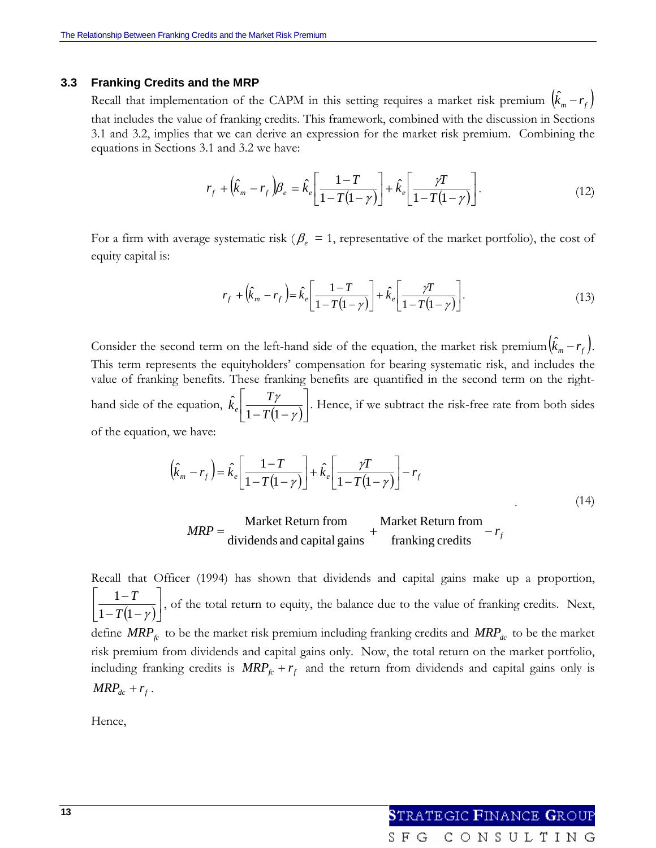#### **3.3 Franking Credits and the MRP**

Recall that implementation of the CAPM in this setting requires a market risk premium  $(\hat{k}_m - r_f)$ that includes the value of franking credits. This framework, combined with the discussion in Sections 3.1 and 3.2, implies that we can derive an expression for the market risk premium. Combining the equations in Sections 3.1 and 3.2 we have:

$$
r_f + \left(\hat{k}_m - r_f\right) \beta_e = \hat{k}_e \left[\frac{1 - T}{1 - T(1 - \gamma)}\right] + \hat{k}_e \left[\frac{\gamma T}{1 - T(1 - \gamma)}\right].\tag{12}
$$

For a firm with average systematic risk ( $\beta_e = 1$ , representative of the market portfolio), the cost of equity capital is:

$$
r_f + \left(\hat{k}_m - r_f\right) = \hat{k}_e \left[\frac{1 - T}{1 - T(1 - \gamma)}\right] + \hat{k}_e \left[\frac{\gamma T}{1 - T(1 - \gamma)}\right].\tag{13}
$$

Consider the second term on the left-hand side of the equation, the market risk premium $(\hat k_m - r_f)$ . This term represents the equityholders' compensation for bearing systematic risk, and includes the value of franking benefits. These franking benefits are quantified in the second term on the righthand side of the equation,  $k_e \left[ \frac{Y}{1 - T(1 - \gamma)} \right]$  $\left|\frac{T\gamma}{1-T(1-\gamma)}\right|$ ⎣  $\vert$  $-T(1-\gamma)$ γ  $1 - T(1)$ ˆ  $\hat{k}_e \left( \frac{T\gamma}{1 - T(1 - \gamma)} \right)$ . Hence, if we subtract the risk-free rate from both sides of the equation, we have:

$$
\left(\hat{k}_m - r_f\right) = \hat{k}_e \left[\frac{1 - T}{1 - T(1 - \gamma)}\right] + \hat{k}_e \left[\frac{\gamma T}{1 - T(1 - \gamma)}\right] - r_f
$$
\n
$$
\text{Market Return from} \qquad \text{Market Return from} \qquad (14)
$$

$$
MRP = \frac{\text{Market Return from}}{\text{dividends and capital gains}} + \frac{\text{Market Return from}}{\text{franking credits}} - r_f
$$

Recall that Officer (1994) has shown that dividends and capital gains make up a proportion,  $\overline{(1-\gamma)}$  $\left| \frac{1-T}{1-T(1-\alpha)} \right|$ ⎣  $\mathsf{L}$  $-T(1-$ −  $1 - T(1 - \gamma)$ 1 *T*  $\left[T_{\text{max}}\right]$ , of the total return to equity, the balance due to the value of franking credits. Next, define  $MRP<sub>fc</sub>$  to be the market risk premium including franking credits and  $MRP<sub>dc</sub>$  to be the market risk premium from dividends and capital gains only. Now, the total return on the market portfolio, including franking credits is  $MRP_{fc} + r_f$  and the return from dividends and capital gains only is  $MRP_{dc} + r_f$ .

Hence,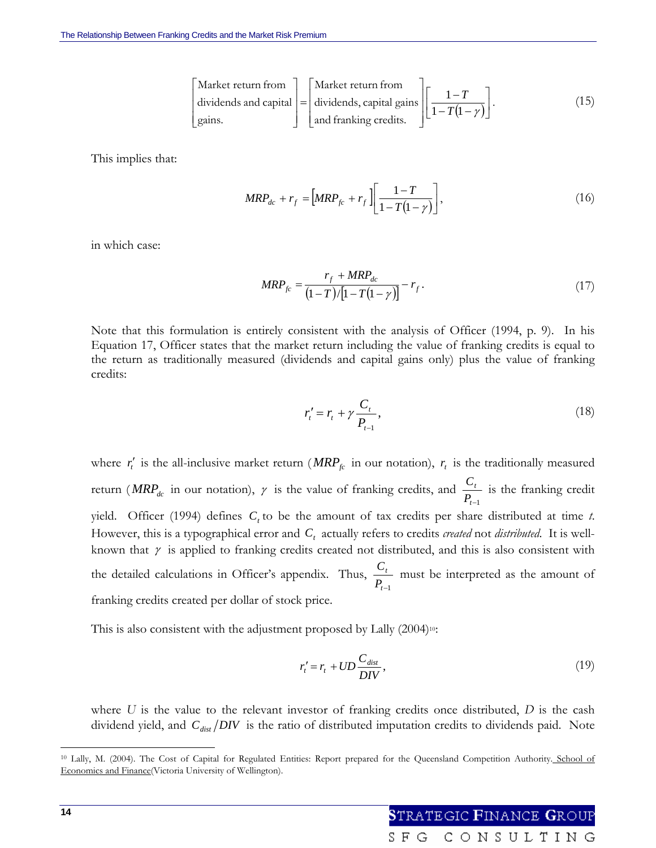$\mathsf{I}$  $\vert$  $\lfloor$ 

 $\lfloor$ 

⎣

Market return from  
dividends and capital 
$$
\begin{bmatrix} \text{Market return from} \\ \text{dividends, capital gains} \end{bmatrix} \begin{bmatrix} 1 - T \\ 1 - T(1 - \gamma) \end{bmatrix}.
$$
 (15)

This implies that:

$$
MRP_{dc} + r_f = \left[MRP_{fc} + r_f \right] \left[ \frac{1 - T}{1 - T(1 - \gamma)} \right],
$$
\n(16)

in which case:

$$
MRP_{fc} = \frac{r_f + MRP_{dc}}{(1-T)\left[1-T(1-\gamma)\right]} - r_f.
$$
\n(17)

Note that this formulation is entirely consistent with the analysis of Officer (1994, p. 9). In his Equation 17, Officer states that the market return including the value of franking credits is equal to the return as traditionally measured (dividends and capital gains only) plus the value of franking credits:

$$
r'_{t} = r_{t} + \gamma \frac{C_{t}}{P_{t-1}},
$$
\n(18)

where  $r'_i$  is the all-inclusive market return (*MRP<sub>fc</sub>* in our notation),  $r_i$  is the traditionally measured return ( $MRP_{dc}$  in our notation),  $\gamma$  is the value of franking credits, and *t*−1 *t*  $\frac{C_t}{P_{t-1}}$  is the franking credit yield. Officer (1994) defines  $C<sub>t</sub>$  to be the amount of tax credits per share distributed at time *t*. However, this is a typographical error and  $C<sub>t</sub>$  actually refers to credits *created* not *distributed*. It is wellknown that  $\gamma$  is applied to franking credits created not distributed, and this is also consistent with the detailed calculations in Officer's appendix. Thus, *t*−1 *t*  $\frac{C_t}{P_{t-1}}$  must be interpreted as the amount of franking credits created per dollar of stock price.

This is also consistent with the adjustment proposed by Lally (2004)<sup>10</sup>:

$$
r_t' = r_t + UD \frac{C_{dist}}{DIV},\tag{19}
$$

where *U* is the value to the relevant investor of franking credits once distributed, *D* is the cash dividend yield, and  $C_{dist}/DIV$  is the ratio of distributed imputation credits to dividends paid. Note

<sup>&</sup>lt;sup>10</sup> Lally, M. (2004). The Cost of Capital for Regulated Entities: Report prepared for the Queensland Competition Authority. School of Economics and Finance(Victoria University of Wellington).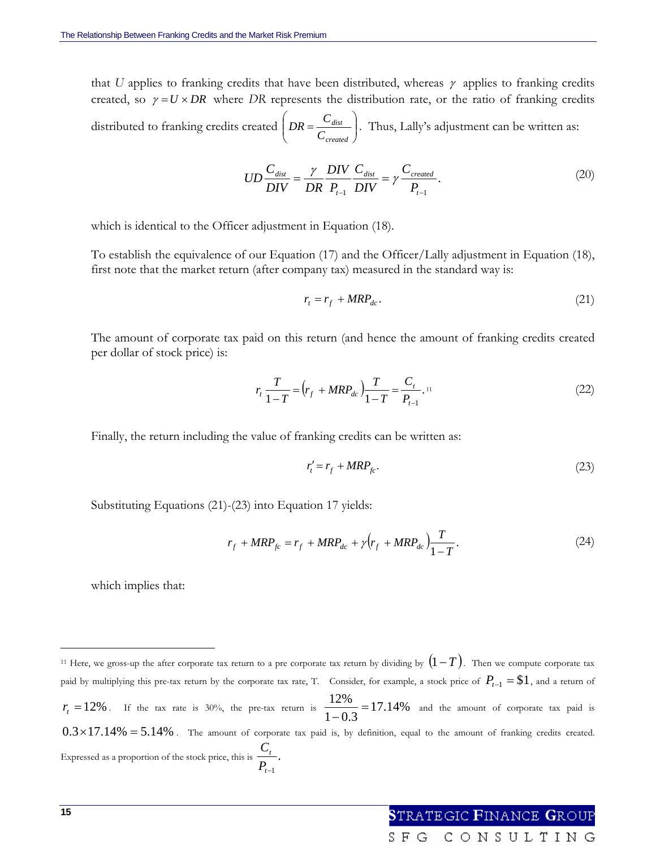that *U* applies to franking credits that have been distributed, whereas  $\gamma$  applies to franking credits created, so  $\gamma = U \times DR$  where DR represents the distribution rate, or the ratio of franking credits distributed to franking credits created  $\left| DR = \frac{C_{dist}}{C}\right|$ ⎠ ⎞  $\overline{\phantom{a}}$ ⎝  $\int DR$ *created dist C*  $DR = \frac{C_{dist}}{C}$ . Thus, Lally's adjustment can be written as:

$$
UD\frac{C_{dist}}{DIV} = \frac{\gamma}{DR} \frac{DIV}{P_{t-1}} \frac{C_{dist}}{DIV} = \gamma \frac{C_{created}}{P_{t-1}}.
$$
\n(20)

which is identical to the Officer adjustment in Equation (18).

To establish the equivalence of our Equation (17) and the Officer/Lally adjustment in Equation (18), first note that the market return (after company tax) measured in the standard way is:

$$
r_t = r_f + MRP_{dc}.
$$
 (21)

The amount of corporate tax paid on this return (and hence the amount of franking credits created per dollar of stock price) is:

$$
r_{t} \frac{T}{1-T} = \left(r_{f} + MRP_{dc}\right) \frac{T}{1-T} = \frac{C_{t}}{P_{t-1}}.
$$
\n(22)

Finally, the return including the value of franking credits can be written as:

$$
r_t' = r_f + MRP_{fc}.\tag{23}
$$

Substituting Equations (21)-(23) into Equation 17 yields:

$$
r_f + MRP_{fc} = r_f + MRP_{dc} + \gamma (r_f + MRP_{dc}) \frac{T}{1 - T}.
$$
 (24)

SFG

which implies that:

CONSULTING

<sup>11</sup> Here, we gross-up the after corporate tax return to a pre corporate tax return by dividing by (1− *T* ). Then we compute corporate tax paid by multiplying this pre-tax return by the corporate tax rate, T. Consider, for example, a stock price of  $P_{t-1} = $1$ , and a return of  $r_t = 12\%$ . If the tax rate is 30%, the pre-tax return is  $\frac{12\%}{1-0.3} = 17.14\%$  and the amount of corporate tax paid is  $0.3 \times 17.14\% = 5.14\%$ . The amount of corporate tax paid is, by definition, equal to the amount of franking credits created. Expressed as a proportion of the stock price, this is  $\frac{C_t}{T}$ . *t*−1 *t P C*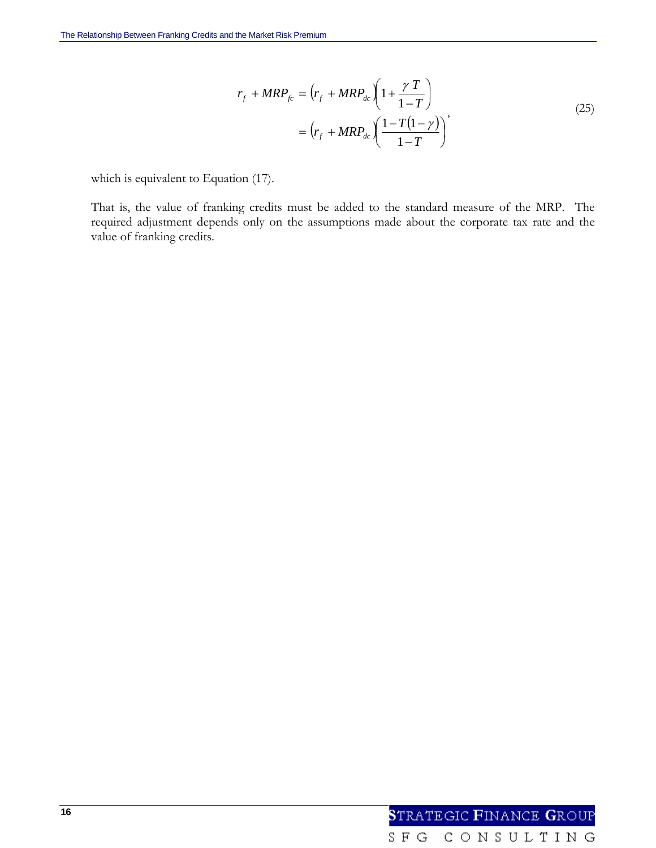$$
r_f + MRP_{fc} = \left(r_f + MRP_{dc}\left(1 + \frac{\gamma T}{1 - T}\right)\right)
$$
  
= 
$$
\left(r_f + MRP_{dc}\left(\frac{1 - T(1 - \gamma)}{1 - T}\right)\right)
$$
 (25)

which is equivalent to Equation (17).

That is, the value of franking credits must be added to the standard measure of the MRP. The required adjustment depends only on the assumptions made about the corporate tax rate and the value of franking credits.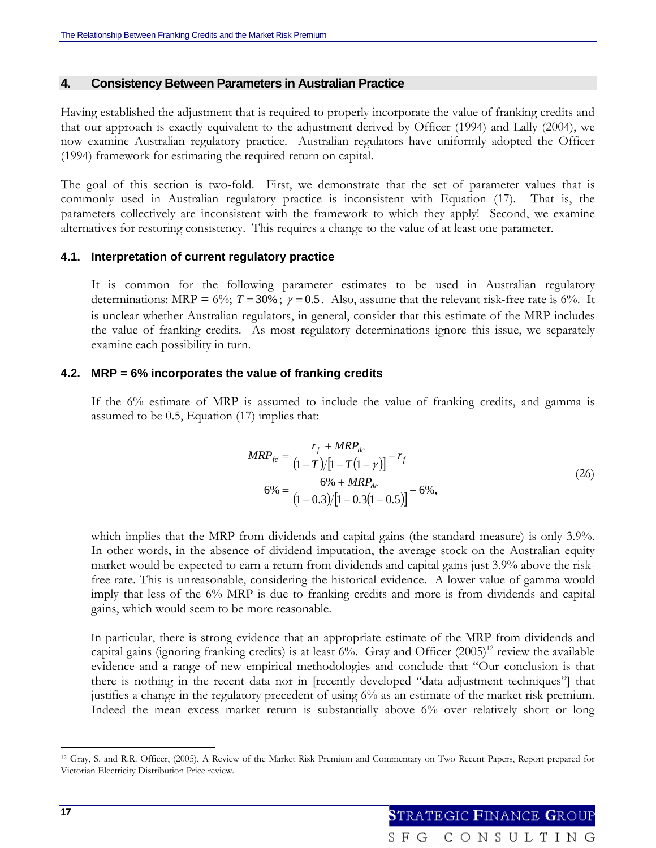### **4. Consistency Between Parameters in Australian Practice**

Having established the adjustment that is required to properly incorporate the value of franking credits and that our approach is exactly equivalent to the adjustment derived by Officer (1994) and Lally (2004), we now examine Australian regulatory practice. Australian regulators have uniformly adopted the Officer (1994) framework for estimating the required return on capital.

The goal of this section is two-fold. First, we demonstrate that the set of parameter values that is commonly used in Australian regulatory practice is inconsistent with Equation (17). That is, the parameters collectively are inconsistent with the framework to which they apply! Second, we examine alternatives for restoring consistency. This requires a change to the value of at least one parameter.

## **4.1. Interpretation of current regulatory practice**

It is common for the following parameter estimates to be used in Australian regulatory determinations: MRP =  $6\%$ ; *T* = 30%;  $\gamma$  = 0.5. Also, assume that the relevant risk-free rate is 6%. It is unclear whether Australian regulators, in general, consider that this estimate of the MRP includes the value of franking credits. As most regulatory determinations ignore this issue, we separately examine each possibility in turn.

## **4.2. MRP = 6% incorporates the value of franking credits**

If the 6% estimate of MRP is assumed to include the value of franking credits, and gamma is assumed to be 0.5, Equation (17) implies that:

$$
MRP_{fc} = \frac{r_f + MRP_{dc}}{(1 - T)/[1 - T(1 - \gamma)]} - r_f
$$
  
\n
$$
6\% = \frac{6\% + MRP_{dc}}{(1 - 0.3)/[1 - 0.3(1 - 0.5)]} - 6\%,
$$
\n(26)

which implies that the MRP from dividends and capital gains (the standard measure) is only 3.9%. In other words, in the absence of dividend imputation, the average stock on the Australian equity market would be expected to earn a return from dividends and capital gains just 3.9% above the riskfree rate. This is unreasonable, considering the historical evidence. A lower value of gamma would imply that less of the 6% MRP is due to franking credits and more is from dividends and capital gains, which would seem to be more reasonable.

In particular, there is strong evidence that an appropriate estimate of the MRP from dividends and capital gains (ignoring franking credits) is at least  $6\%$ . Gray and Officer  $(2005)^{12}$  review the available evidence and a range of new empirical methodologies and conclude that "Our conclusion is that there is nothing in the recent data nor in [recently developed "data adjustment techniques"] that justifies a change in the regulatory precedent of using 6% as an estimate of the market risk premium. Indeed the mean excess market return is substantially above 6% over relatively short or long

<sup>12</sup> Gray, S. and R.R. Officer, (2005), A Review of the Market Risk Premium and Commentary on Two Recent Papers, Report prepared for Victorian Electricity Distribution Price review.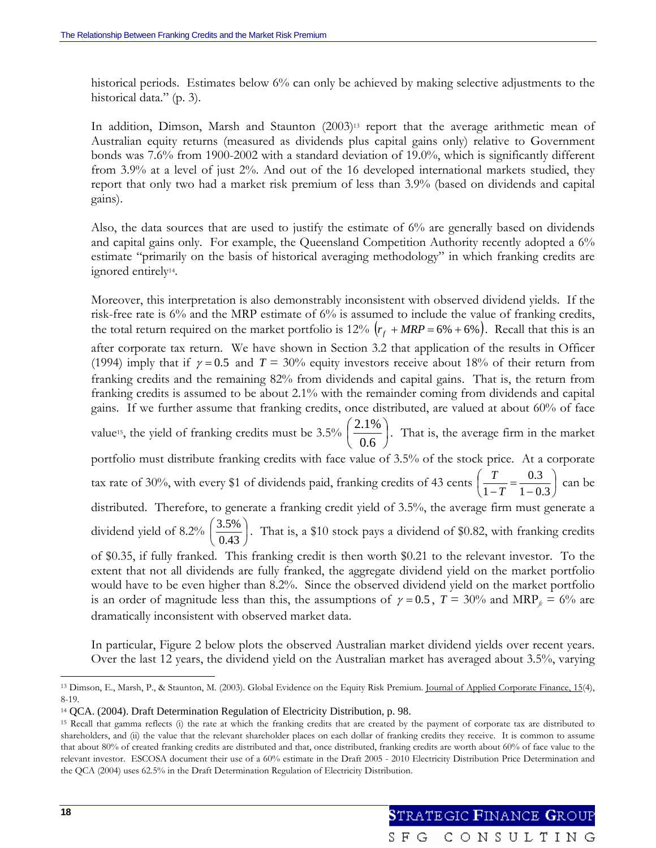historical periods. Estimates below 6% can only be achieved by making selective adjustments to the historical data." (p. 3).

In addition, Dimson, Marsh and Staunton (2003)<sup>13</sup> report that the average arithmetic mean of Australian equity returns (measured as dividends plus capital gains only) relative to Government bonds was 7.6% from 1900-2002 with a standard deviation of 19.0%, which is significantly different from 3.9% at a level of just 2%. And out of the 16 developed international markets studied, they report that only two had a market risk premium of less than 3.9% (based on dividends and capital gains).

Also, the data sources that are used to justify the estimate of 6% are generally based on dividends and capital gains only. For example, the Queensland Competition Authority recently adopted a 6% estimate "primarily on the basis of historical averaging methodology" in which franking credits are ignored entirely14.

Moreover, this interpretation is also demonstrably inconsistent with observed dividend yields. If the risk-free rate is 6% and the MRP estimate of 6% is assumed to include the value of franking credits, the total return required on the market portfolio is 12%  $(r_f + MRP = 6\% + 6\%)$ . Recall that this is an after corporate tax return. We have shown in Section 3.2 that application of the results in Officer (1994) imply that if  $\gamma = 0.5$  and  $T = 30\%$  equity investors receive about 18% of their return from franking credits and the remaining 82% from dividends and capital gains. That is, the return from franking credits is assumed to be about 2.1% with the remainder coming from dividends and capital gains. If we further assume that franking credits, once distributed, are valued at about 60% of face value<sup>15</sup>, the yield of franking credits must be 3.5%  $\left| \frac{2.17}{0.65} \right|$ ⎠  $\left(\frac{2.1\%}{2.5}\right)$ ⎝  $\big($ 0.6  $\left(\frac{2.1\%}{2.5}\right)$ . That is, the average firm in the market portfolio must distribute franking credits with face value of 3.5% of the stock price. At a corporate tax rate of 30%, with every \$1 of dividends paid, franking credits of 43 cents  $\frac{1}{1}$  =  $\frac{0.5}{1}$ ⎠  $\left(\frac{T}{1-T}=\frac{0.3}{1-0.2}\right)$ ⎝  $\left(\frac{T}{1-T}\right) = \frac{0.3}{1-0.3}$  $\left(\frac{T}{1-T}\right) = \frac{0.3}{1-0.3}$  can be distributed. Therefore, to generate a franking credit yield of 3.5%, the average firm must generate a dividend yield of 8.2%  $\left(\frac{3.5}{0.12}\right)$ ⎠  $\left(\frac{3.5\%}{0.48}\right)$ ⎝  $\big($  $\left(\frac{3.5\%}{0.43}\right)$ . That is, a \$10 stock pays a dividend of \$0.82, with franking credits of \$0.35, if fully franked. This franking credit is then worth \$0.21 to the relevant investor. To the extent that not all dividends are fully franked, the aggregate dividend yield on the market portfolio would have to be even higher than 8.2%. Since the observed dividend yield on the market portfolio is an order of magnitude less than this, the assumptions of  $\gamma = 0.5$ ,  $T = 30\%$  and MRP<sub>*fc*</sub> = 6% are dramatically inconsistent with observed market data.

In particular, Figure 2 below plots the observed Australian market dividend yields over recent years. Over the last 12 years, the dividend yield on the Australian market has averaged about 3.5%, varying

<sup>&</sup>lt;sup>13</sup> Dimson, E., Marsh, P., & Staunton, M. (2003). Global Evidence on the Equity Risk Premium. Journal of Applied Corporate Finance, 15(4), 8-19.

<sup>14</sup> QCA. (2004). Draft Determination Regulation of Electricity Distribution, p. 98.

<sup>&</sup>lt;sup>15</sup> Recall that gamma reflects (i) the rate at which the franking credits that are created by the payment of corporate tax are distributed to shareholders, and (ii) the value that the relevant shareholder places on each dollar of franking credits they receive. It is common to assume that about 80% of created franking credits are distributed and that, once distributed, franking credits are worth about 60% of face value to the relevant investor. ESCOSA document their use of a 60% estimate in the Draft 2005 - 2010 Electricity Distribution Price Determination and the QCA (2004) uses 62.5% in the Draft Determination Regulation of Electricity Distribution.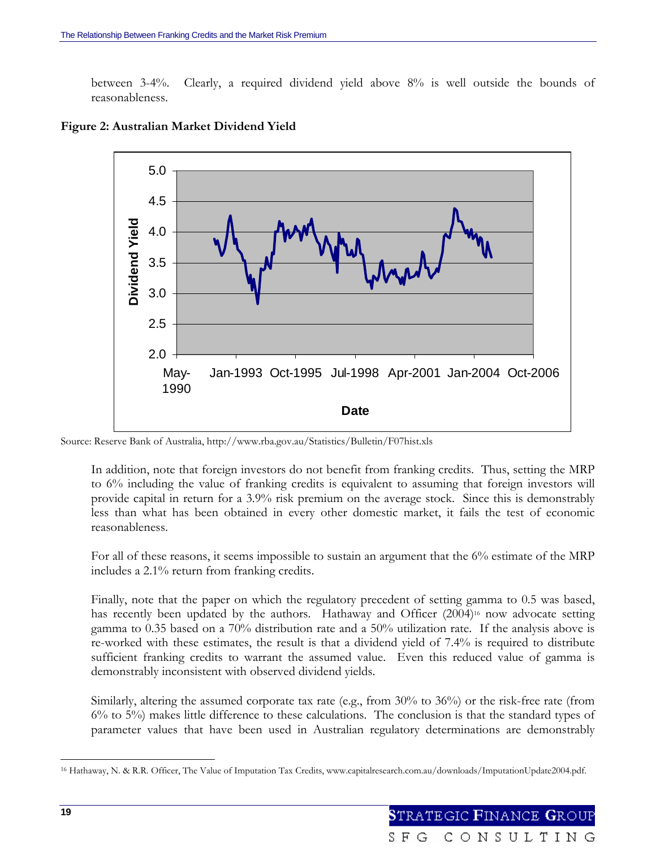between 3-4%. Clearly, a required dividend yield above 8% is well outside the bounds of reasonableness.



**Figure 2: Australian Market Dividend Yield** 

Source: Reserve Bank of Australia, http://www.rba.gov.au/Statistics/Bulletin/F07hist.xls

In addition, note that foreign investors do not benefit from franking credits. Thus, setting the MRP to 6% including the value of franking credits is equivalent to assuming that foreign investors will provide capital in return for a 3.9% risk premium on the average stock. Since this is demonstrably less than what has been obtained in every other domestic market, it fails the test of economic reasonableness.

For all of these reasons, it seems impossible to sustain an argument that the 6% estimate of the MRP includes a 2.1% return from franking credits.

Finally, note that the paper on which the regulatory precedent of setting gamma to 0.5 was based, has recently been updated by the authors. Hathaway and Officer (2004)<sup>16</sup> now advocate setting gamma to 0.35 based on a 70% distribution rate and a 50% utilization rate. If the analysis above is re-worked with these estimates, the result is that a dividend yield of 7.4% is required to distribute sufficient franking credits to warrant the assumed value. Even this reduced value of gamma is demonstrably inconsistent with observed dividend yields.

Similarly, altering the assumed corporate tax rate (e.g., from 30% to 36%) or the risk-free rate (from 6% to 5%) makes little difference to these calculations. The conclusion is that the standard types of parameter values that have been used in Australian regulatory determinations are demonstrably

l

<sup>16</sup> Hathaway, N. & R.R. Officer, The Value of Imputation Tax Credits, www.capitalresearch.com.au/downloads/ImputationUpdate2004.pdf.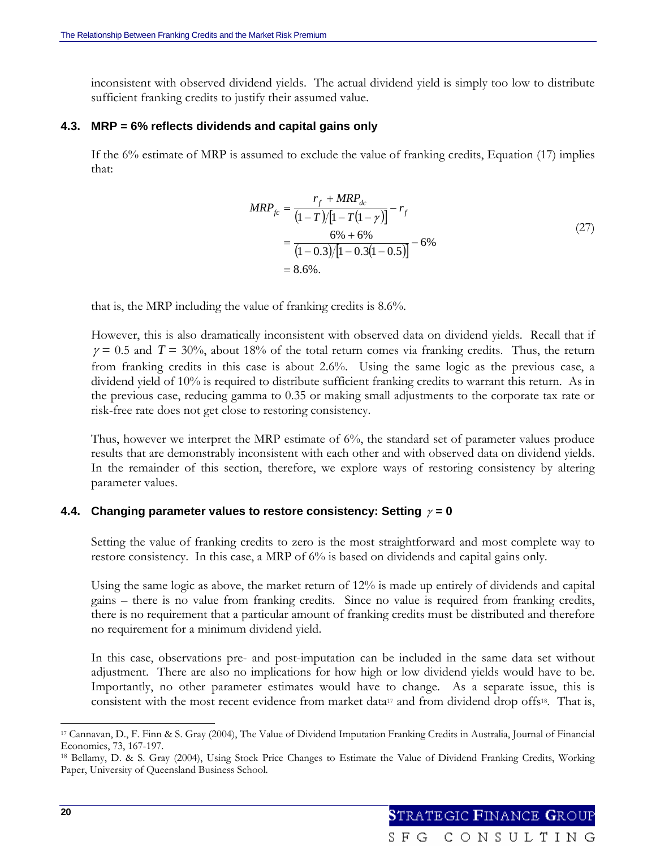inconsistent with observed dividend yields. The actual dividend yield is simply too low to distribute sufficient franking credits to justify their assumed value.

## **4.3. MRP = 6% reflects dividends and capital gains only**

If the 6% estimate of MRP is assumed to exclude the value of franking credits, Equation (17) implies that:

$$
MRP_{fc} = \frac{r_f + MRP_{dc}}{(1 - T)/[1 - T(1 - \gamma)]} - r_f
$$
  
= 
$$
\frac{6\% + 6\%}{(1 - 0.3)/[1 - 0.3(1 - 0.5)]} - 6\%
$$
  
= 8.6%. (27)

that is, the MRP including the value of franking credits is 8.6%.

However, this is also dramatically inconsistent with observed data on dividend yields. Recall that if  $\gamma = 0.5$  and  $T = 30\%$ , about 18% of the total return comes via franking credits. Thus, the return from franking credits in this case is about 2.6%. Using the same logic as the previous case, a dividend yield of 10% is required to distribute sufficient franking credits to warrant this return. As in the previous case, reducing gamma to 0.35 or making small adjustments to the corporate tax rate or risk-free rate does not get close to restoring consistency.

Thus, however we interpret the MRP estimate of 6%, the standard set of parameter values produce results that are demonstrably inconsistent with each other and with observed data on dividend yields. In the remainder of this section, therefore, we explore ways of restoring consistency by altering parameter values.

## **4.4. Changing parameter values to restore consistency: Setting** <sup>γ</sup> **= 0**

Setting the value of franking credits to zero is the most straightforward and most complete way to restore consistency. In this case, a MRP of 6% is based on dividends and capital gains only.

Using the same logic as above, the market return of 12% is made up entirely of dividends and capital gains – there is no value from franking credits. Since no value is required from franking credits, there is no requirement that a particular amount of franking credits must be distributed and therefore no requirement for a minimum dividend yield.

In this case, observations pre- and post-imputation can be included in the same data set without adjustment. There are also no implications for how high or low dividend yields would have to be. Importantly, no other parameter estimates would have to change. As a separate issue, this is consistent with the most recent evidence from market data<sup>17</sup> and from dividend drop offs<sup>18</sup>. That is,

<sup>17</sup> Cannavan, D., F. Finn & S. Gray (2004), The Value of Dividend Imputation Franking Credits in Australia, Journal of Financial Economics, 73, 167-197.

<sup>18</sup> Bellamy, D. & S. Gray (2004), Using Stock Price Changes to Estimate the Value of Dividend Franking Credits, Working Paper, University of Queensland Business School.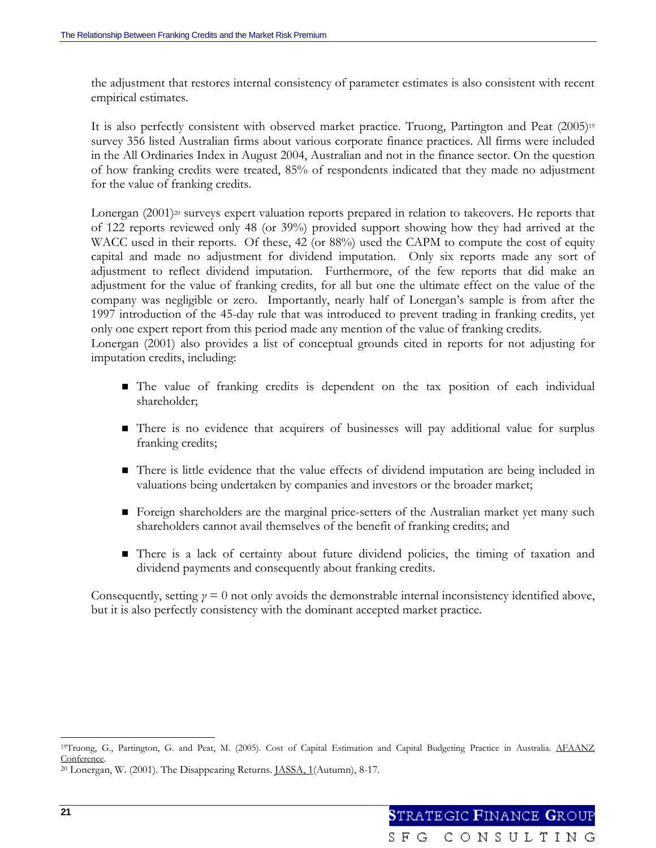the adjustment that restores internal consistency of parameter estimates is also consistent with recent empirical estimates.

It is also perfectly consistent with observed market practice. Truong, Partington and Peat (2005)<sup>19</sup> survey 356 listed Australian firms about various corporate finance practices. All firms were included in the All Ordinaries Index in August 2004, Australian and not in the finance sector. On the question of how franking credits were treated, 85% of respondents indicated that they made no adjustment for the value of franking credits.

Lonergan  $(2001)$ <sup>20</sup> surveys expert valuation reports prepared in relation to takeovers. He reports that of 122 reports reviewed only 48 (or 39%) provided support showing how they had arrived at the WACC used in their reports. Of these, 42 (or 88%) used the CAPM to compute the cost of equity capital and made no adjustment for dividend imputation. Only six reports made any sort of adjustment to reflect dividend imputation. Furthermore, of the few reports that did make an adjustment for the value of franking credits, for all but one the ultimate effect on the value of the company was negligible or zero. Importantly, nearly half of Lonergan's sample is from after the 1997 introduction of the 45-day rule that was introduced to prevent trading in franking credits, yet only one expert report from this period made any mention of the value of franking credits.

Lonergan (2001) also provides a list of conceptual grounds cited in reports for not adjusting for imputation credits, including:

- The value of franking credits is dependent on the tax position of each individual shareholder;
- There is no evidence that acquirers of businesses will pay additional value for surplus franking credits;
- There is little evidence that the value effects of dividend imputation are being included in valuations being undertaken by companies and investors or the broader market;
- Foreign shareholders are the marginal price-setters of the Australian market yet many such shareholders cannot avail themselves of the benefit of franking credits; and
- There is a lack of certainty about future dividend policies, the timing of taxation and dividend payments and consequently about franking credits.

Consequently, setting  $\gamma = 0$  not only avoids the demonstrable internal inconsistency identified above, but it is also perfectly consistency with the dominant accepted market practice.

<sup>19</sup>Truong, G., Partington, G. and Peat, M. (2005). Cost of Capital Estimation and Capital Budgeting Practice in Australia. AFAANZ Conference.<br><sup>20</sup> Lonergan, W. (2001). The Disappearing Returns. <u>JASSA, 1</u>(Autumn), 8-17.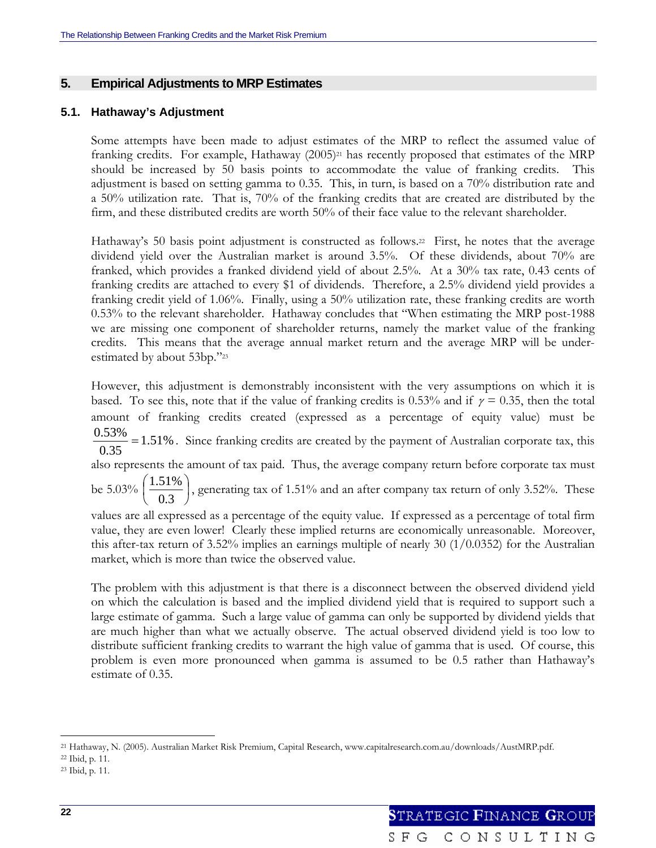## **5. Empirical Adjustments to MRP Estimates**

## **5.1. Hathaway's Adjustment**

Some attempts have been made to adjust estimates of the MRP to reflect the assumed value of franking credits. For example, Hathaway (2005)<sup>21</sup> has recently proposed that estimates of the MRP should be increased by 50 basis points to accommodate the value of franking credits. This adjustment is based on setting gamma to 0.35. This, in turn, is based on a 70% distribution rate and a 50% utilization rate. That is, 70% of the franking credits that are created are distributed by the firm, and these distributed credits are worth 50% of their face value to the relevant shareholder.

Hathaway's 50 basis point adjustment is constructed as follows.<sup>22</sup> First, he notes that the average dividend yield over the Australian market is around 3.5%. Of these dividends, about 70% are franked, which provides a franked dividend yield of about 2.5%. At a 30% tax rate, 0.43 cents of franking credits are attached to every \$1 of dividends. Therefore, a 2.5% dividend yield provides a franking credit yield of 1.06%. Finally, using a 50% utilization rate, these franking credits are worth 0.53% to the relevant shareholder. Hathaway concludes that "When estimating the MRP post-1988 we are missing one component of shareholder returns, namely the market value of the franking credits. This means that the average annual market return and the average MRP will be underestimated by about 53bp."23

However, this adjustment is demonstrably inconsistent with the very assumptions on which it is based. To see this, note that if the value of franking credits is 0.53% and if  $\gamma = 0.35$ , then the total amount of franking credits created (expressed as a percentage of equity value) must be 1.51% 0.35  $\frac{0.53\%}{0.25}$  = 1.51%. Since franking credits are created by the payment of Australian corporate tax, this also represents the amount of tax paid. Thus, the average company return before corporate tax must be  $5.03\%$   $\frac{1.51\%}{0.2}$ ⎠  $\left(\frac{1.51\%}{2.2}\right)$ ⎝  $\big($ 0.3  $\left(\frac{1.51\%}{\phantom{0000}}\right)$ , generating tax of 1.51% and an after company tax return of only 3.52%. These

values are all expressed as a percentage of the equity value. If expressed as a percentage of total firm value, they are even lower! Clearly these implied returns are economically unreasonable. Moreover, this after-tax return of 3.52% implies an earnings multiple of nearly 30  $(1/0.0352)$  for the Australian market, which is more than twice the observed value.

The problem with this adjustment is that there is a disconnect between the observed dividend yield on which the calculation is based and the implied dividend yield that is required to support such a large estimate of gamma. Such a large value of gamma can only be supported by dividend yields that are much higher than what we actually observe. The actual observed dividend yield is too low to distribute sufficient franking credits to warrant the high value of gamma that is used. Of course, this problem is even more pronounced when gamma is assumed to be 0.5 rather than Hathaway's estimate of 0.35.

<sup>21</sup> Hathaway, N. (2005). Australian Market Risk Premium, Capital Research, www.capitalresearch.com.au/downloads/AustMRP.pdf.

<sup>22</sup> Ibid, p. 11.

<sup>23</sup> Ibid, p. 11.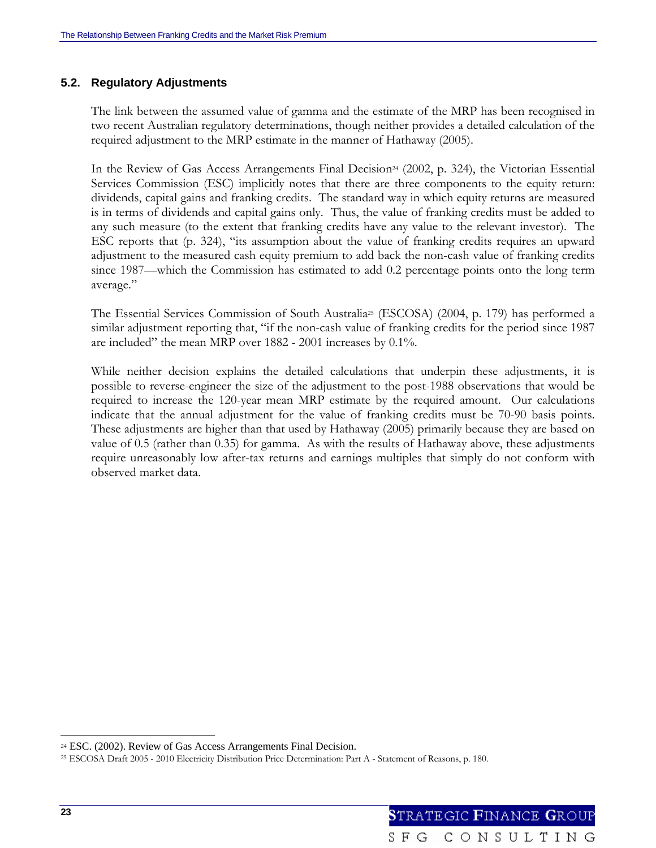## **5.2. Regulatory Adjustments**

The link between the assumed value of gamma and the estimate of the MRP has been recognised in two recent Australian regulatory determinations, though neither provides a detailed calculation of the required adjustment to the MRP estimate in the manner of Hathaway (2005).

In the Review of Gas Access Arrangements Final Decision<sup>24</sup> (2002, p. 324), the Victorian Essential Services Commission (ESC) implicitly notes that there are three components to the equity return: dividends, capital gains and franking credits. The standard way in which equity returns are measured is in terms of dividends and capital gains only. Thus, the value of franking credits must be added to any such measure (to the extent that franking credits have any value to the relevant investor). The ESC reports that (p. 324), "its assumption about the value of franking credits requires an upward adjustment to the measured cash equity premium to add back the non-cash value of franking credits since 1987—which the Commission has estimated to add 0.2 percentage points onto the long term average."

The Essential Services Commission of South Australia<sup>25</sup> (ESCOSA) (2004, p. 179) has performed a similar adjustment reporting that, "if the non-cash value of franking credits for the period since 1987 are included" the mean MRP over 1882 - 2001 increases by 0.1%.

While neither decision explains the detailed calculations that underpin these adjustments, it is possible to reverse-engineer the size of the adjustment to the post-1988 observations that would be required to increase the 120-year mean MRP estimate by the required amount. Our calculations indicate that the annual adjustment for the value of franking credits must be 70-90 basis points. These adjustments are higher than that used by Hathaway (2005) primarily because they are based on value of 0.5 (rather than 0.35) for gamma. As with the results of Hathaway above, these adjustments require unreasonably low after-tax returns and earnings multiples that simply do not conform with observed market data.

<sup>24</sup> ESC. (2002). Review of Gas Access Arrangements Final Decision.

<sup>25</sup> ESCOSA Draft 2005 - 2010 Electricity Distribution Price Determination: Part A - Statement of Reasons, p. 180.